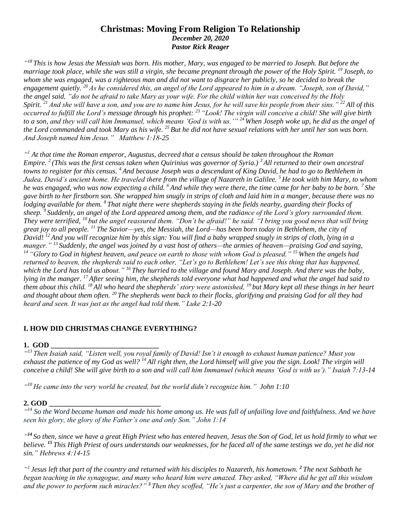### **Christmas: Moving From Religion To Relationship** *December 20, 2020*

*Pastor Rick Reager*

*" <sup>18</sup> This is how Jesus the Messiah was born. His mother, Mary, was engaged to be married to Joseph. But before the marriage took place, while she was still a virgin, she became pregnant through the power of the Holy Spirit. <sup>19</sup> Joseph, to whom she was engaged, was a righteous man and did not want to disgrace her publicly, so he decided to break the engagement quietly. <sup>20</sup> As he considered this, an angel of the Lord appeared to him in a dream. "Joseph, son of David," the angel said, "do not be afraid to take Mary as your wife. For the child within her was conceived by the Holy Spirit. <sup>21</sup> And she will have a son, and you are to name him Jesus, for he will save his people from their sins." <sup>22</sup> All of this occurred to fulfill the Lord's message through his prophet: <sup>23</sup> "Look! The virgin will conceive a child! She will give birth to a son, and they will call him Immanuel, which means 'God is with us.'" <sup>24</sup> When Joseph woke up, he did as the angel of the Lord commanded and took Mary as his wife. <sup>25</sup> But he did not have sexual relations with her until her son was born. And Joseph named him Jesus." Matthew 1:18-25*

<sup>41</sup> At that time the Roman emperor, Augustus, decreed that a census should be taken throughout the Roman *Empire. <sup>2</sup> (This was the first census taken when Quirinius was governor of Syria.) <sup>3</sup>All returned to their own ancestral towns to register for this census. <sup>4</sup> And because Joseph was a descendant of King David, he had to go to Bethlehem in Judea, David's ancient home. He traveled there from the village of Nazareth in Galilee. <sup>5</sup> He took with him Mary, to whom he was engaged, who was now expecting a child. <sup>6</sup> And while they were there, the time came for her baby to be born. <sup>7</sup> She gave birth to her firstborn son. She wrapped him snugly in strips of cloth and laid him in a manger, because there was no lodging available for them. <sup>8</sup> That night there were shepherds staying in the fields nearby, guarding their flocks of sheep. <sup>9</sup> Suddenly, an angel of the Lord appeared among them, and the radiance of the Lord's glory surrounded them. They were terrified, <sup>10</sup> but the angel reassured them. "Don't be afraid!" he said. "I bring you good news that will bring great joy to all people. <sup>11</sup> The Savior—yes, the Messiah, the Lord—has been born today in Bethlehem, the city of David! <sup>12</sup> And you will recognize him by this sign: You will find a baby wrapped snugly in strips of cloth, lying in a manger." <sup>13</sup> Suddenly, the angel was joined by a vast host of others—the armies of heaven—praising God and saying, <sup>14</sup> "Glory to God in highest heaven, and peace on earth to those with whom God is pleased." <sup>15</sup> When the angels had returned to heaven, the shepherds said to each other, "Let's go to Bethlehem! Let's see this thing that has happened, which the Lord has told us about." <sup>16</sup> They hurried to the village and found Mary and Joseph. And there was the baby, lying in the manger. <sup>17</sup> After seeing him, the shepherds told everyone what had happened and what the angel had said to them about this child. <sup>18</sup> All who heard the shepherds' story were astonished, <sup>19</sup> but Mary kept all these things in her heart and thought about them often. <sup>20</sup> The shepherds went back to their flocks, glorifying and praising God for all they had heard and seen. It was just as the angel had told them." Luke 2:1-20*

# **I. HOW DID CHRISTMAS CHANGE EVERYTHING?**

#### **1. GOD \_\_\_\_\_\_\_\_\_\_\_\_\_\_\_\_\_\_\_\_\_\_\_\_\_\_\_\_\_\_**

*" <sup>13</sup> Then Isaiah said, "Listen well, you royal family of David! Isn't it enough to exhaust human patience? Must you*  exhaust the patience of my God as well?<sup>14</sup> All right then, the Lord himself will give you the sign. Look! The virgin will *conceive a child! She will give birth to a son and will call him Immanuel (which means 'God is with us')." Isaiah 7:13-14*

*" <sup>10</sup> He came into the very world he created, but the world didn't recognize him." John 1:10*

#### **2. GOD \_\_\_\_\_\_\_\_\_\_\_\_\_\_\_\_\_\_\_\_\_\_\_\_\_\_\_\_\_\_\_**

*" <sup>14</sup> So the Word became human and made his home among us. He was full of unfailing love and faithfulness. And we have seen his glory, the glory of the Father's one and only Son." John 1:14*

<sup>44</sup> So then, since we have a great High Priest who has entered heaven, Jesus the Son of God, let us hold firmly to what we *believe. <sup>15</sup> This High Priest of ours understands our weaknesses, for he faced all of the same testings we do, yet he did not sin." Hebrews 4:14-15*

*" <sup>1</sup>Jesus left that part of the country and returned with his disciples to Nazareth, his hometown. <sup>2</sup> The next Sabbath he began teaching in the synagogue, and many who heard him were amazed. They asked, "Where did he get all this wisdom and the power to perform such miracles?" <sup>3</sup> Then they scoffed, "He's just a carpenter, the son of Mary and the brother of*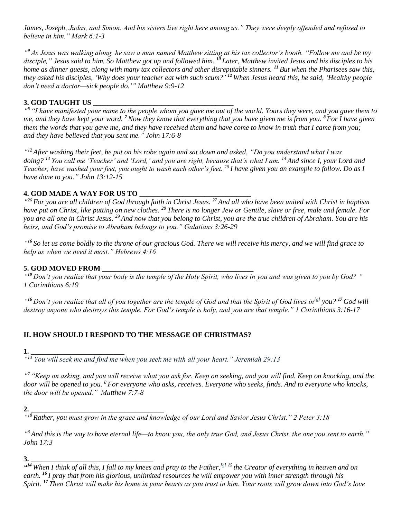*James, Joseph, Judas, and Simon. And his sisters live right here among us." They were deeply offended and refused to believe in him." Mark 6:1-3*

*" <sup>9</sup> As Jesus was walking along, he saw a man named Matthew sitting at his tax collector's booth. "Follow me and be my disciple," Jesus said to him. So Matthew got up and followed him. <sup>10</sup> Later, Matthew invited Jesus and his disciples to his home as dinner guests, along with many tax collectors and other disreputable sinners. <sup>11</sup> But when the Pharisees saw this, they asked his disciples, 'Why does your teacher eat with such scum?' <sup>12</sup> When Jesus heard this, he said, 'Healthy people don't need a doctor—sick people do.'" Matthew 9:9-12*

### **3. GOD TAUGHT US \_\_\_\_\_\_\_\_\_\_\_\_\_\_\_\_\_\_\_\_\_\_\_\_\_\_\_\_\_\_\_\_\_\_\_\_\_\_\_**

*" <sup>6</sup> "I have manifested your name to the people whom you gave me out of the world. Yours they were, and you gave them to me, and they have kept your word. <sup>7</sup>Now they know that everything that you have given me is from you. <sup>8</sup>For I have given them the words that you gave me, and they have received them and have come to know in truth that I came from you; and they have believed that you sent me." John 17:6-8*

*" <sup>12</sup> After washing their feet, he put on his robe again and sat down and asked, "Do you understand what I was doing? <sup>13</sup> You call me 'Teacher' and 'Lord,' and you are right, because that's what I am. <sup>14</sup> And since I, your Lord and Teacher, have washed your feet, you ought to wash each other's feet. <sup>15</sup> I have given you an example to follow. Do as I have done to you." John 13:12-15*

### **4. GOD MADE A WAY FOR US TO**

*" <sup>26</sup> For you are all children of God through faith in Christ Jesus. <sup>27</sup> And all who have been united with Christ in baptism have put on Christ, like putting on new clothes. <sup>28</sup> There is no longer Jew or Gentile, slave or free, male and female. For you are all one in Christ Jesus. <sup>29</sup> And now that you belong to Christ, you are the true children of Abraham. You are his heirs, and God's promise to Abraham belongs to you." Galatians 3:26-29*

*" <sup>16</sup> So let us come boldly to the throne of our gracious God. There we will receive his mercy, and we will find grace to help us when we need it most." Hebrews 4:16*

### **5. GOD MOVED FROM**

*" <sup>19</sup> Don't you realize that your body is the temple of the Holy Spirit, who lives in you and was given to you by God? " 1 Corinthians 6:19*

*" <sup>16</sup> Don't you realize that all of you together are the temple of God and that the Spirit of God lives in[\[a\]](https://www.biblegateway.com/passage/?search=1+Corinthians+3%3A16-20&version=ESV;NLT#fen-NLT-28387a) you? <sup>17</sup> God will destroy anyone who destroys this temple. For God's temple is holy, and you are that temple." 1 Corinthians 3:16-17*

# **II. HOW SHOULD I RESPOND TO THE MESSAGE OF CHRISTMAS?**

**1. \_\_\_\_\_\_\_\_\_\_\_\_\_\_\_\_\_\_\_\_\_\_\_\_\_\_**

*" <sup>13</sup> You will seek me and find me when you seek me with all your heart." Jeremiah 29:13*

*" <sup>7</sup> "Keep on asking, and you will receive what you ask for. Keep on seeking, and you will find. Keep on knocking, and the door will be opened to you. <sup>8</sup> For everyone who asks, receives. Everyone who seeks, finds. And to everyone who knocks, the door will be opened." Matthew 7:7-8*

*" <sup>18</sup> Rather, you must grow in the grace and knowledge of our Lord and Savior Jesus Christ." 2 Peter 3:18*

*" <sup>3</sup> And this is the way to have eternal life—to know you, the only true God, and Jesus Christ, the one you sent to earth." John 17:3*

**3. \_\_\_\_\_\_\_\_\_\_\_\_\_\_\_\_\_\_\_\_\_\_\_\_\_\_\_\_\_\_\_\_\_\_**

**<sup>2.</sup> \_\_\_\_\_\_\_\_\_\_\_\_\_\_\_\_\_\_\_\_\_\_\_\_\_\_\_\_\_\_\_\_\_\_\_\_\_**

*<sup>&</sup>quot; <sup>14</sup> When I think of all this, I fall to my knees and pray to the Father,[\[e\]](https://www.biblegateway.com/passage/?search=Ephesians+3&version=NLT#fen-NLT-29226e) <sup>15</sup> the Creator of everything in heaven and on earth. <sup>16</sup> I pray that from his glorious, unlimited resources he will empower you with inner strength through his Spirit. <sup>17</sup> Then Christ will make his home in your hearts as you trust in him. Your roots will grow down into God's love*